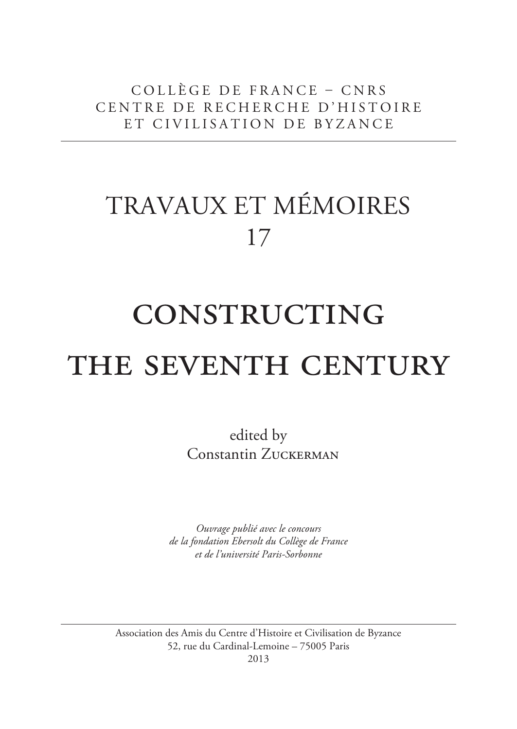collège de france – cnrs centre de recherche d'histoire et civilisation de byzance

## travaux et mémoires 17

# **CONSTRUCTING** THE SEVENTH CENTURY

edited by Constantin ZUCKERMAN

*Ouvrage publié avec le concours de la fondation Ebersolt du Collège de France et de l'université Paris-Sorbonne*

Association des Amis du Centre d'Histoire et Civilisation de Byzance 52, rue du Cardinal-Lemoine – 75005 Paris

2013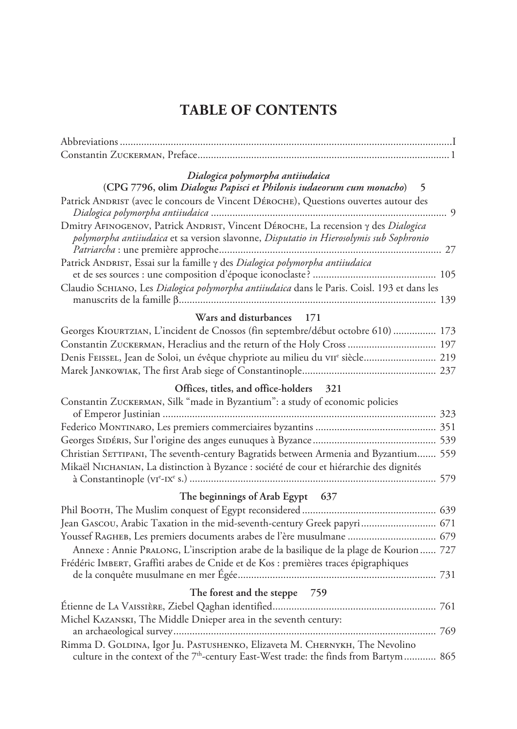### **Table of contents**

| Dialogica polymorpha antiiudaica<br>(CPG 7796, olim Dialogus Papisci et Philonis iudaeorum cum monacho) 5                                                                        |  |
|----------------------------------------------------------------------------------------------------------------------------------------------------------------------------------|--|
| Patrick ANDRIST (avec le concours de Vincent DÉROCHE), Questions ouvertes autour des                                                                                             |  |
| Dmitry AFINOGENOV, Patrick ANDRIST, Vincent DÉROCHE, La recension y des Dialogica<br>polymorpha antiiudaica et sa version slavonne, Disputatio in Hierosolymis sub Sophronio     |  |
| Patrick ANDRIST, Essai sur la famille y des Dialogica polymorpha antiiudaica                                                                                                     |  |
| Claudio SCHIANO, Les Dialogica polymorpha antiiudaica dans le Paris. Coisl. 193 et dans les                                                                                      |  |
| Wars and disturbances 171                                                                                                                                                        |  |
| Georges KIOURTZIAN, L'incident de Cnossos (fin septembre/début octobre 610)  173                                                                                                 |  |
| Constantin ZUCKERMAN, Heraclius and the return of the Holy Cross  197                                                                                                            |  |
| Denis FEISSEL, Jean de Soloi, un évêque chypriote au milieu du vIIe siècle 219                                                                                                   |  |
|                                                                                                                                                                                  |  |
| Offices, titles, and office-holders 321                                                                                                                                          |  |
| Constantin ZUCKERMAN, Silk "made in Byzantium": a study of economic policies                                                                                                     |  |
|                                                                                                                                                                                  |  |
|                                                                                                                                                                                  |  |
|                                                                                                                                                                                  |  |
| Christian SETTIPANI, The seventh-century Bagratids between Armenia and Byzantium 559                                                                                             |  |
| Mikaël NICHANIAN, La distinction à Byzance : société de cour et hiérarchie des dignités                                                                                          |  |
|                                                                                                                                                                                  |  |
| The beginnings of Arab Egypt 637                                                                                                                                                 |  |
|                                                                                                                                                                                  |  |
| Jean Gascou, Arabic Taxation in the mid-seventh-century Greek papyri 671                                                                                                         |  |
| Youssef RAGHEB, Les premiers documents arabes de l'ère musulmane  679                                                                                                            |  |
| Annexe : Annie PraLONG, L'inscription arabe de la basilique de la plage de Kourion  727                                                                                          |  |
| Frédéric IMBERT, Graffiti arabes de Cnide et de Kos : premières traces épigraphiques                                                                                             |  |
|                                                                                                                                                                                  |  |
| The forest and the steppe 759                                                                                                                                                    |  |
|                                                                                                                                                                                  |  |
| Michel KAZANSKI, The Middle Dnieper area in the seventh century:                                                                                                                 |  |
|                                                                                                                                                                                  |  |
| Rimma D. GOLDINA, Igor Ju. PASTUSHENKO, Elizaveta M. CHERNYKH, The Nevolino<br>culture in the context of the 7 <sup>th</sup> -century East-West trade: the finds from Bartym 865 |  |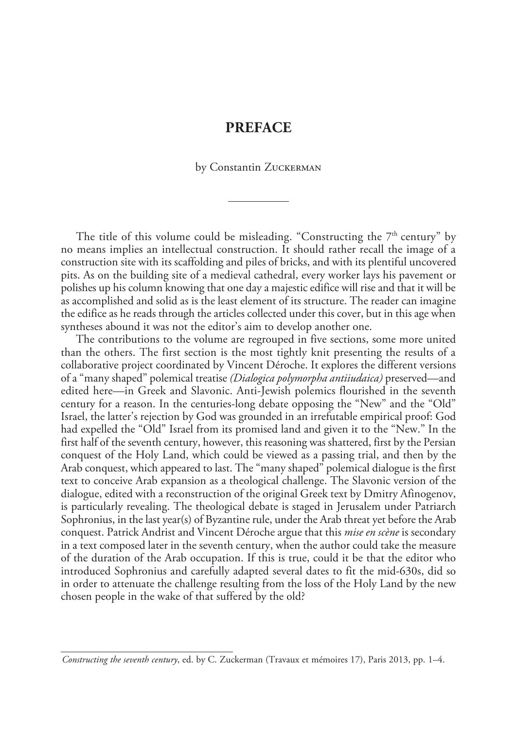#### **preface**

by Constantin ZUCKERMAN

The title of this volume could be misleading. "Constructing the  $7<sup>th</sup>$  century" by no means implies an intellectual construction. It should rather recall the image of a construction site with its scaffolding and piles of bricks, and with its plentiful uncovered pits. As on the building site of a medieval cathedral, every worker lays his pavement or polishes up his column knowing that one day a majestic edifice will rise and that it will be as accomplished and solid as is the least element of its structure. The reader can imagine the edifice as he reads through the articles collected under this cover, but in this age when syntheses abound it was not the editor's aim to develop another one.

The contributions to the volume are regrouped in five sections, some more united than the others. The first section is the most tightly knit presenting the results of a collaborative project coordinated by Vincent Déroche. It explores the different versions of a "many shaped" polemical treatise *(Dialogica polymorpha antiiudaica)* preserved—and edited here—in Greek and Slavonic. Anti-Jewish polemics flourished in the seventh century for a reason. In the centuries-long debate opposing the "New" and the "Old" Israel, the latter's rejection by God was grounded in an irrefutable empirical proof: God had expelled the "Old" Israel from its promised land and given it to the "New." In the first half of the seventh century, however, this reasoning was shattered, first by the Persian conquest of the Holy Land, which could be viewed as a passing trial, and then by the Arab conquest, which appeared to last. The "many shaped" polemical dialogue is the first text to conceive Arab expansion as a theological challenge. The Slavonic version of the dialogue, edited with a reconstruction of the original Greek text by Dmitry Afinogenov, is particularly revealing. The theological debate is staged in Jerusalem under Patriarch Sophronius, in the last year(s) of Byzantine rule, under the Arab threat yet before the Arab conquest. Patrick Andrist and Vincent Déroche argue that this *mise en scène* is secondary in a text composed later in the seventh century, when the author could take the measure of the duration of the Arab occupation. If this is true, could it be that the editor who introduced Sophronius and carefully adapted several dates to fit the mid-630s, did so in order to attenuate the challenge resulting from the loss of the Holy Land by the new chosen people in the wake of that suffered by the old?

*Constructing the seventh century*, ed. by C. Zuckerman (Travaux et mémoires 17), Paris 2013, pp. 1–4.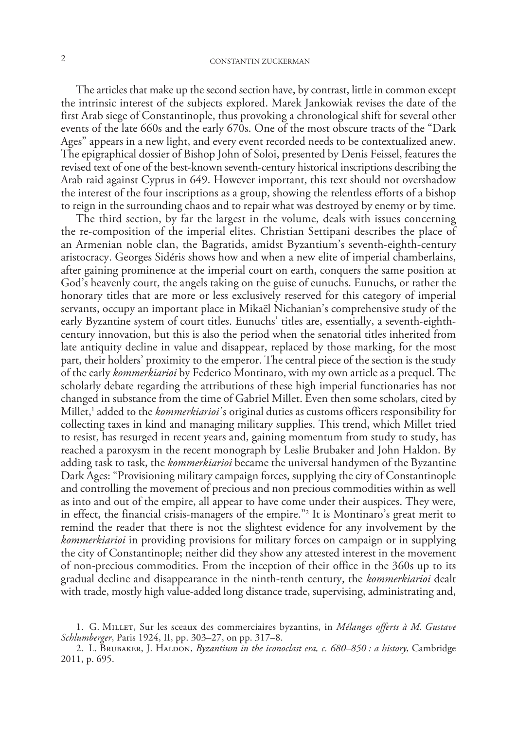The articles that make up the second section have, by contrast, little in common except the intrinsic interest of the subjects explored. Marek Jankowiak revises the date of the first Arab siege of Constantinople, thus provoking a chronological shift for several other events of the late 660s and the early 670s. One of the most obscure tracts of the "Dark Ages" appears in a new light, and every event recorded needs to be contextualized anew. The epigraphical dossier of Bishop John of Soloi, presented by Denis Feissel, features the revised text of one of the best-known seventh-century historical inscriptions describing the Arab raid against Cyprus in 649. However important, this text should not overshadow the interest of the four inscriptions as a group, showing the relentless efforts of a bishop to reign in the surrounding chaos and to repair what was destroyed by enemy or by time.

The third section, by far the largest in the volume, deals with issues concerning the re-composition of the imperial elites. Christian Settipani describes the place of an Armenian noble clan, the Bagratids, amidst Byzantium's seventh-eighth-century aristocracy. Georges Sidéris shows how and when a new elite of imperial chamberlains, after gaining prominence at the imperial court on earth, conquers the same position at God's heavenly court, the angels taking on the guise of eunuchs. Eunuchs, or rather the honorary titles that are more or less exclusively reserved for this category of imperial servants, occupy an important place in Mikaël Nichanian's comprehensive study of the early Byzantine system of court titles. Eunuchs' titles are, essentially, a seventh-eighthcentury innovation, but this is also the period when the senatorial titles inherited from late antiquity decline in value and disappear, replaced by those marking, for the most part, their holders' proximity to the emperor. The central piece of the section is the study of the early *kommerkiarioi* by Federico Montinaro, with my own article as a prequel. The scholarly debate regarding the attributions of these high imperial functionaries has not changed in substance from the time of Gabriel Millet. Even then some scholars, cited by Millet,1 added to the *kommerkiarioi*'s original duties as customs officers responsibility for collecting taxes in kind and managing military supplies. This trend, which Millet tried to resist, has resurged in recent years and, gaining momentum from study to study, has reached a paroxysm in the recent monograph by Leslie Brubaker and John Haldon. By adding task to task, the *kommerkiarioi* became the universal handymen of the Byzantine Dark Ages: "Provisioning military campaign forces, supplying the city of Constantinople and controlling the movement of precious and non precious commodities within as well as into and out of the empire, all appear to have come under their auspices. They were, in effect, the financial crisis-managers of the empire."2 It is Montinaro's great merit to remind the reader that there is not the slightest evidence for any involvement by the *kommerkiarioi* in providing provisions for military forces on campaign or in supplying the city of Constantinople; neither did they show any attested interest in the movement of non-precious commodities. From the inception of their office in the 360s up to its gradual decline and disappearance in the ninth-tenth century, the *kommerkiarioi* dealt with trade, mostly high value-added long distance trade, supervising, administrating and,

<sup>1.</sup> G. Millet, Sur les sceaux des commerciaires byzantins, in *Mélanges offerts à M. Gustave Schlumberger*, Paris 1924, II, pp. 303–27, on pp. 317–8.

<sup>2.</sup> L. Brubaker, J. Haldon, *Byzantium in the iconoclast era, c. 680–850 : a history*, Cambridge 2011, p. 695.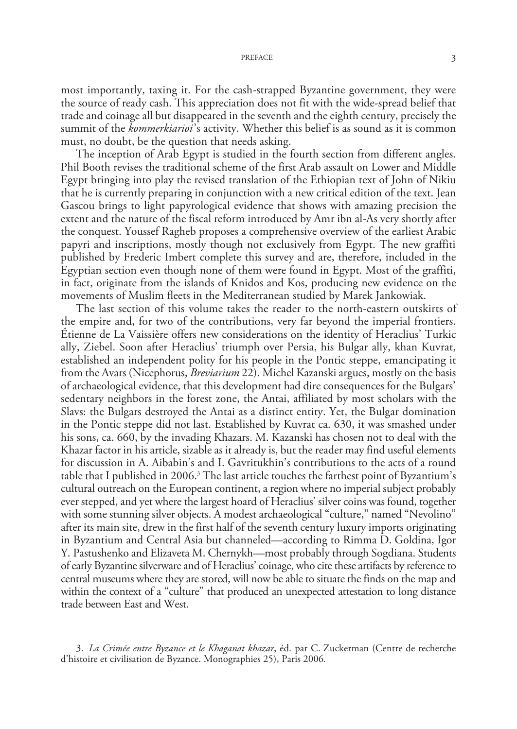#### preface 3

most importantly, taxing it. For the cash-strapped Byzantine government, they were the source of ready cash. This appreciation does not fit with the wide-spread belief that trade and coinage all but disappeared in the seventh and the eighth century, precisely the summit of the *kommerkiarioi*'s activity. Whether this belief is as sound as it is common must, no doubt, be the question that needs asking.

The inception of Arab Egypt is studied in the fourth section from different angles. Phil Booth revises the traditional scheme of the first Arab assault on Lower and Middle Egypt bringing into play the revised translation of the Ethiopian text of John of Nikiu that he is currently preparing in conjunction with a new critical edition of the text. Jean Gascou brings to light papyrological evidence that shows with amazing precision the extent and the nature of the fiscal reform introduced by Amr ibn al-As very shortly after the conquest. Youssef Ragheb proposes a comprehensive overview of the earliest Arabic papyri and inscriptions, mostly though not exclusively from Egypt. The new graffiti published by Frederic Imbert complete this survey and are, therefore, included in the Egyptian section even though none of them were found in Egypt. Most of the graffiti, in fact, originate from the islands of Knidos and Kos, producing new evidence on the movements of Muslim fleets in the Mediterranean studied by Marek Jankowiak.

The last section of this volume takes the reader to the north-eastern outskirts of the empire and, for two of the contributions, very far beyond the imperial frontiers. Étienne de La Vaissière offers new considerations on the identity of Heraclius' Turkic ally, Ziebel. Soon after Heraclius' triumph over Persia, his Bulgar ally, khan Kuvrat, established an independent polity for his people in the Pontic steppe, emancipating it from the Avars (Nicephorus, *Breviarium* 22). Michel Kazanski argues, mostly on the basis of archaeological evidence, that this development had dire consequences for the Bulgars' sedentary neighbors in the forest zone, the Antai, affiliated by most scholars with the Slavs: the Bulgars destroyed the Antai as a distinct entity. Yet, the Bulgar domination in the Pontic steppe did not last. Established by Kuvrat ca. 630, it was smashed under his sons, ca. 660, by the invading Khazars. M. Kazanski has chosen not to deal with the Khazar factor in his article, sizable as it already is, but the reader may find useful elements for discussion in A. Aibabin's and I. Gavritukhin's contributions to the acts of a round table that I published in 2006.<sup>3</sup> The last article touches the farthest point of Byzantium's cultural outreach on the European continent, a region where no imperial subject probably ever stepped, and yet where the largest hoard of Heraclius' silver coins was found, together with some stunning silver objects. A modest archaeological "culture," named "Nevolino" after its main site, drew in the first half of the seventh century luxury imports originating in Byzantium and Central Asia but channeled—according to Rimma D. Goldina, Igor Y. Pastushenko and Elizaveta M. Chernykh—most probably through Sogdiana. Students of early Byzantine silverware and of Heraclius' coinage, who cite these artifacts by reference to central museums where they are stored, will now be able to situate the finds on the map and within the context of a "culture" that produced an unexpected attestation to long distance trade between East and West.

3. *La Crimée entre Byzance et le Khaganat khazar*, éd. par C. Zuckerman (Centre de recherche d'histoire et civilisation de Byzance. Monographies 25), Paris 2006*.*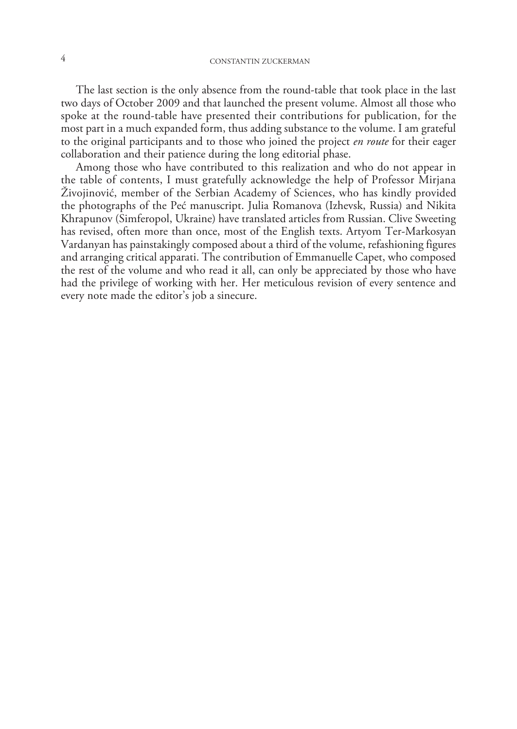The last section is the only absence from the round-table that took place in the last two days of October 2009 and that launched the present volume. Almost all those who spoke at the round-table have presented their contributions for publication, for the most part in a much expanded form, thus adding substance to the volume. I am grateful to the original participants and to those who joined the project *en route* for their eager collaboration and their patience during the long editorial phase.

Among those who have contributed to this realization and who do not appear in the table of contents, I must gratefully acknowledge the help of Professor Mirjana Živojinović, member of the Serbian Academy of Sciences, who has kindly provided the photographs of the Peć manuscript. Julia Romanova (Izhevsk, Russia) and Nikita Khrapunov (Simferopol, Ukraine) have translated articles from Russian. Clive Sweeting has revised, often more than once, most of the English texts. Artyom Ter-Markosyan Vardanyan has painstakingly composed about a third of the volume, refashioning figures and arranging critical apparati. The contribution of Emmanuelle Capet, who composed the rest of the volume and who read it all, can only be appreciated by those who have had the privilege of working with her. Her meticulous revision of every sentence and every note made the editor's job a sinecure.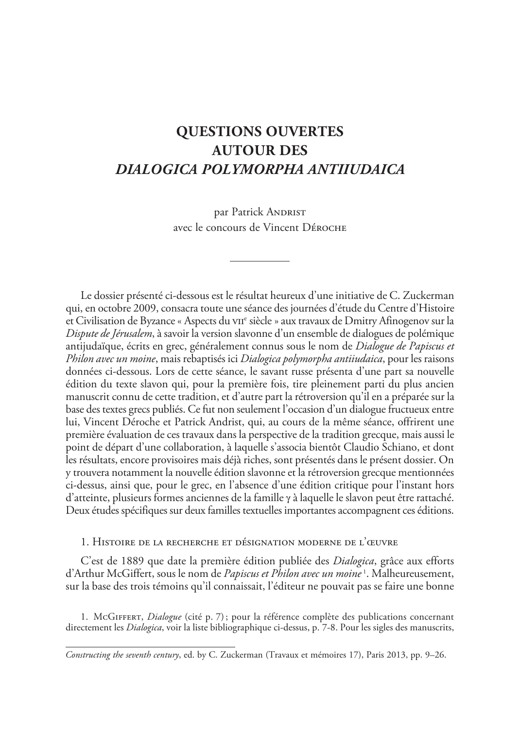### **Questions ouvertes autour des** *Dialogica polymorpha antiiudaica*

par Patrick ANDRIST avec le concours de Vincent Déroche

Le dossier présenté ci-dessous est le résultat heureux d'une initiative de C. Zuckerman qui, en octobre 2009, consacra toute une séance des journées d'étude du Centre d'Histoire et Civilisation de Byzance « Aspects du vii<sup>e</sup> siècle » aux travaux de Dmitry Afinogenov sur la *Dispute de Jérusalem*, à savoir la version slavonne d'un ensemble de dialogues de polémique antijudaïque, écrits en grec, généralement connus sous le nom de *Dialogue de Papiscus et Philon avec un moine*, mais rebaptisés ici *Dialogica polymorpha antiiudaica*, pour les raisons données ci-dessous. Lors de cette séance, le savant russe présenta d'une part sa nouvelle édition du texte slavon qui, pour la première fois, tire pleinement parti du plus ancien manuscrit connu de cette tradition, et d'autre part la rétroversion qu'il en a préparée sur la base des textes grecs publiés. Ce fut non seulement l'occasion d'un dialogue fructueux entre lui, Vincent Déroche et Patrick Andrist, qui, au cours de la même séance, offrirent une première évaluation de ces travaux dans la perspective de la tradition grecque, mais aussi le point de départ d'une collaboration, à laquelle s'associa bientôt Claudio Schiano, et dont les résultats, encore provisoires mais déjà riches, sont présentés dans le présent dossier. On y trouvera notamment la nouvelle édition slavonne et la rétroversion grecque mentionnées ci-dessus, ainsi que, pour le grec, en l'absence d'une édition critique pour l'instant hors d'atteinte, plusieurs formes anciennes de la famille γ à laquelle le slavon peut être rattaché. Deux études spécifiques sur deux familles textuelles importantes accompagnent ces éditions.

1. Histoire de la recherche et désignation moderne de l'œuvre

C'est de 1889 que date la première édition publiée des *Dialogica*, grâce aux efforts d'Arthur McGiffert, sous le nom de *Papiscus et Philon avec un moine* <sup>1</sup> . Malheureusement, sur la base des trois témoins qu'il connaissait, l'éditeur ne pouvait pas se faire une bonne

1. McGiffert, *Dialogue* (cité p. 7); pour la référence complète des publications concernant directement les *Dialogica*, voir la liste bibliographique ci-dessus, p. 7-8. Pour les sigles des manuscrits,

*Constructing the seventh century*, ed. by C. Zuckerman (Travaux et mémoires 17), Paris 2013, pp. 9–26.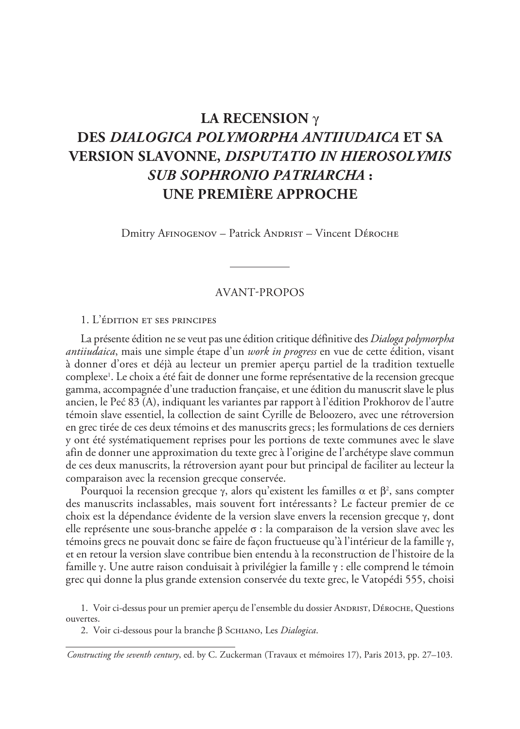### **La recension** γ **des** *Dialogica polymorpha antiiudaica* **et sa version slavonne,** *Disputatio in Hierosolymis sub sophronio patriarcha* **: une première approche**

Dmitry AFINOGENOV – Patrick ANDRIST – Vincent DÉROCHE

#### Avant-propos

#### 1. L'édition et ses principes

La présente édition ne se veut pas une édition critique définitive des *Dialoga polymorpha antiiudaica*, mais une simple étape d'un *work in progress* en vue de cette édition, visant à donner d'ores et déjà au lecteur un premier aperçu partiel de la tradition textuelle complexe1 . Le choix a été fait de donner une forme représentative de la recension grecque gamma, accompagnée d'une traduction française, et une édition du manuscrit slave le plus ancien, le Peć 83 (A), indiquant les variantes par rapport à l'édition Prokhorov de l'autre témoin slave essentiel, la collection de saint Cyrille de Beloozero, avec une rétroversion en grec tirée de ces deux témoins et des manuscrits grecs; les formulations de ces derniers y ont été systématiquement reprises pour les portions de texte communes avec le slave afin de donner une approximation du texte grec à l'origine de l'archétype slave commun de ces deux manuscrits, la rétroversion ayant pour but principal de faciliter au lecteur la comparaison avec la recension grecque conservée.

Pourquoi la recension grecque γ, alors qu'existent les familles α et β², sans compter des manuscrits inclassables, mais souvent fort intéressants? Le facteur premier de ce choix est la dépendance évidente de la version slave envers la recension grecque γ, dont elle représente une sous-branche appelée σ : la comparaison de la version slave avec les témoins grecs ne pouvait donc se faire de façon fructueuse qu'à l'intérieur de la famille γ, et en retour la version slave contribue bien entendu à la reconstruction de l'histoire de la famille γ. Une autre raison conduisait à privilégier la famille γ : elle comprend le témoin grec qui donne la plus grande extension conservée du texte grec, le Vatopédi 555, choisi

1. Voir ci-dessus pour un premier aperçu de l'ensemble du dossier ANDRIST, DÉROCHE, Questions ouvertes.

2. Voir ci-dessous pour la branche β Schiano, Les *Dialogica*.

*Constructing the seventh century*, ed. by C. Zuckerman (Travaux et mémoires 17), Paris 2013, pp. 27–103.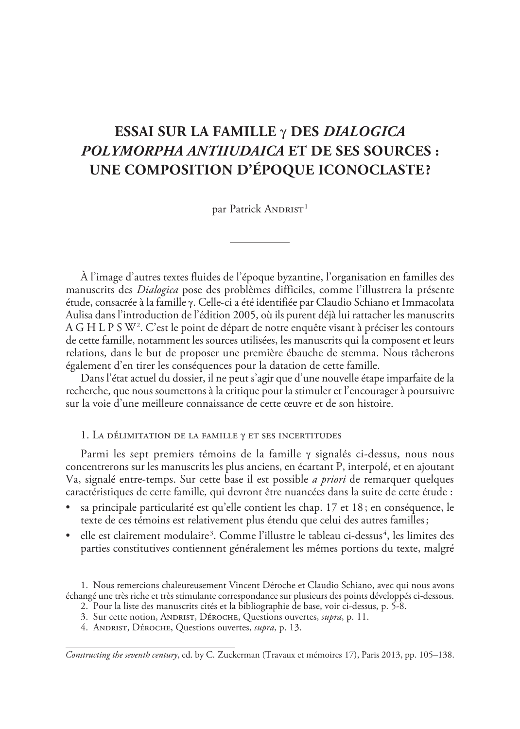### **Essai sur la famille** γ **des** *Dialogica polymorpha antiiudaica* **et de ses sources : Une composition d'époque iconoclaste ?**

par Patrick ANDRIST<sup>1</sup>

À l'image d'autres textes fluides de l'époque byzantine, l'organisation en familles des manuscrits des *Dialogica* pose des problèmes difficiles, comme l'illustrera la présente étude, consacrée à la famille γ. Celle-ci a été identifiée par Claudio Schiano et Immacolata Aulisa dans l'introduction de l'édition 2005, où ils purent déjà lui rattacher les manuscrits A G H L P S W2 . C'est le point de départ de notre enquête visant à préciser les contours de cette famille, notamment les sources utilisées, les manuscrits qui la composent et leurs relations, dans le but de proposer une première ébauche de stemma. Nous tâcherons également d'en tirer les conséquences pour la datation de cette famille.

Dans l'état actuel du dossier, il ne peut s'agir que d'une nouvelle étape imparfaite de la recherche, que nous soumettons à la critique pour la stimuler et l'encourager à poursuivre sur la voie d'une meilleure connaissance de cette œuvre et de son histoire.

#### 1. La délimitation de la famille γ et ses incertitudes

Parmi les sept premiers témoins de la famille γ signalés ci-dessus, nous nous concentrerons sur les manuscrits les plus anciens, en écartant P, interpolé, et en ajoutant Va, signalé entre-temps. Sur cette base il est possible *a priori* de remarquer quelques caractéristiques de cette famille, qui devront être nuancées dans la suite de cette étude :

- sa principale particularité est qu'elle contient les chap. 17 et 18 ; en conséquence, le texte de ces témoins est relativement plus étendu que celui des autres familles;
- $\bullet$  elle est clairement modulaire<sup>3</sup>. Comme l'illustre le tableau ci-dessus<sup>4</sup>, les limites des parties constitutives contiennent généralement les mêmes portions du texte, malgré

1. Nous remercions chaleureusement Vincent Déroche et Claudio Schiano, avec qui nous avons échangé une très riche et très stimulante correspondance sur plusieurs des points développés ci-dessous.

- 2. Pour la liste des manuscrits cités et la bibliographie de base, voir ci-dessus, p. 5-8.
- 3. Sur cette notion, ANDRIST, DÉROCHE, Questions ouvertes, *supra*, p. 11.
- 4. Andrist, Déroche, Questions ouvertes, *supra*, p. 13.

*Constructing the seventh century*, ed. by C. Zuckerman (Travaux et mémoires 17), Paris 2013, pp. 105–138.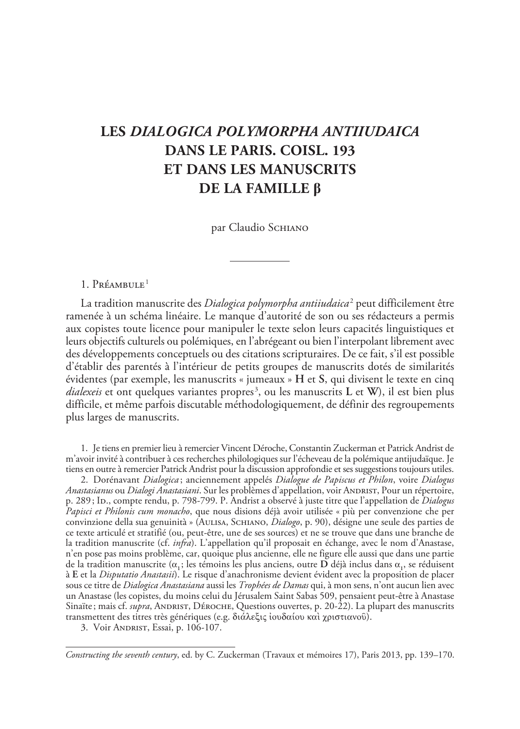### **Les** *Dialogica polymorpha antiiudaica* **dans le Paris. Coisl. 193 et dans les manuscrits de la famille β**

par Claudio SCHIANO

#### 1. Préambule<sup>1</sup>

La tradition manuscrite des *Dialogica polymorpha antiiudaica*<sup>2</sup> peut difficilement être ramenée à un schéma linéaire. Le manque d'autorité de son ou ses rédacteurs a permis aux copistes toute licence pour manipuler le texte selon leurs capacités linguistiques et leurs objectifs culturels ou polémiques, en l'abrégeant ou bien l'interpolant librement avec des développements conceptuels ou des citations scripturaires. De ce fait, s'il est possible d'établir des parentés à l'intérieur de petits groupes de manuscrits dotés de similarités évidentes (par exemple, les manuscrits « jumeaux » **H** et **S**, qui divisent le texte en cinq *dialexeis* et ont quelques variantes propres3 , ou les manuscrits **L** et **W**), il est bien plus difficile, et même parfois discutable méthodologiquement, de définir des regroupements plus larges de manuscrits.

1. Je tiens en premier lieu à remercier Vincent Déroche, Constantin Zuckerman et Patrick Andrist de m'avoir invité à contribuer à ces recherches philologiques sur l'écheveau de la polémique antijudaïque. Je tiens en outre à remercier Patrick Andrist pour la discussion approfondie et ses suggestions toujours utiles.

2. Dorénavant *Dialogica* ; anciennement appelés *Dialogue de Papiscus et Philon*, voire *Dialogus Anastasianus* ou *Dialogi Anastasiani*. Sur les problèmes d'appellation, voir ANDRIST, Pour un répertoire, p. 289; Ib., compte rendu, p. 798-799. P. Andrist a observé à juste titre que l'appellation de *Dialogus Papisci et Philonis cum monacho*, que nous disions déjà avoir utilisée « più per convenzione che per convinzione della sua genuinità » (Aulisa, Schiano, *Dialogo*, p. 90), désigne une seule des parties de ce texte articulé et stratifié (ou, peut-être, une de ses sources) et ne se trouve que dans une branche de la tradition manuscrite (cf. *infra*). L'appellation qu'il proposait en échange, avec le nom d'Anastase, n'en pose pas moins problème, car, quoique plus ancienne, elle ne figure elle aussi que dans une partie de la tradition manuscrite (α**1**; les témoins les plus anciens, outre **D** déjà inclus dans α**<sup>1</sup>** , se réduisent à **E** et la *Disputatio Anastasii*). Le risque d'anachronisme devient évident avec la proposition de placer sous ce titre de *Dialogica Anastasiana* aussi les *Trophées de Damas* qui, à mon sens, n'ont aucun lien avec un Anastase (les copistes, du moins celui du Jérusalem Saint Sabas 509, pensaient peut-être à Anastase Sinaïte; mais cf. *supra*, ANDRIST, DÉROCHE, Questions ouvertes, p. 20-22). La plupart des manuscrits transmettent des titres très génériques (e.g. διάλεξις ἰουδαίου καὶ χριστιανοῦ).

3. Voir Andrist, Essai, p. 106-107.

*Constructing the seventh century*, ed. by C. Zuckerman (Travaux et mémoires 17), Paris 2013, pp. 139–170.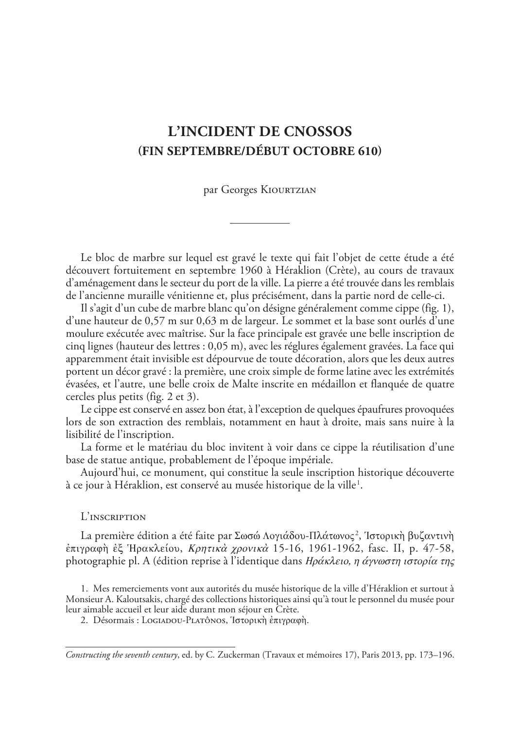### **L'INCIDENT DE CNOSSOS (FIN SEPTEMBRE/DéBUT OCTOBRE 610)**

par Georges KIOURTZIAN

Le bloc de marbre sur lequel est gravé le texte qui fait l'objet de cette étude a été découvert fortuitement en septembre 1960 à Héraklion (Crète), au cours de travaux d'aménagement dans le secteur du port de la ville. La pierre a été trouvée dans les remblais de l'ancienne muraille vénitienne et, plus précisément, dans la partie nord de celle-ci.

Il s'agit d'un cube de marbre blanc qu'on désigne généralement comme cippe (fig. 1), d'une hauteur de 0,57 m sur 0,63 m de largeur. Le sommet et la base sont ourlés d'une moulure exécutée avec maîtrise. Sur la face principale est gravée une belle inscription de cinq lignes (hauteur des lettres : 0,05 m), avec les réglures également gravées. La face qui apparemment était invisible est dépourvue de toute décoration, alors que les deux autres portent un décor gravé : la première, une croix simple de forme latine avec les extrémités évasées, et l'autre, une belle croix de Malte inscrite en médaillon et flanquée de quatre cercles plus petits (fig. 2 et 3).

Le cippe est conservé en assez bon état, à l'exception de quelques épaufrures provoquées lors de son extraction des remblais, notamment en haut à droite, mais sans nuire à la lisibilité de l'inscription.

La forme et le matériau du bloc invitent à voir dans ce cippe la réutilisation d'une base de statue antique, probablement de l'époque impériale.

Aujourd'hui, ce monument, qui constitue la seule inscription historique découverte à ce jour à Héraklion, est conservé au musée historique de la ville $^{\rm l}$ .

#### L'inscription

La première édition a été faite par Σωσώ Λογιάδου-Πλάτωνος², Ἱστορικὴ βυζαντινὴ ἐπιγραφὴ ἐξ Ἡρακλείου, Κρητικὰ χρονικὰ 15-16, 1961-1962, fasc. II, p. 47-58, photographie pl. A (édition reprise à l'identique dans Ηράκλειο, η άγνωστη ιστορία της

1. Mes remerciements vont aux autorités du musée historique de la ville d'Héraklion et surtout à Monsieur A. Kaloutsakis, chargé des collections historiques ainsi qu'à tout le personnel du musée pour leur aimable accueil et leur aide durant mon séjour en Crète.

2. Désormais : Logiadou-Platônos, Ἱστορικὴ ἐπιγραφὴ.

*Constructing the seventh century*, ed. by C. Zuckerman (Travaux et mémoires 17), Paris 2013, pp. 173–196.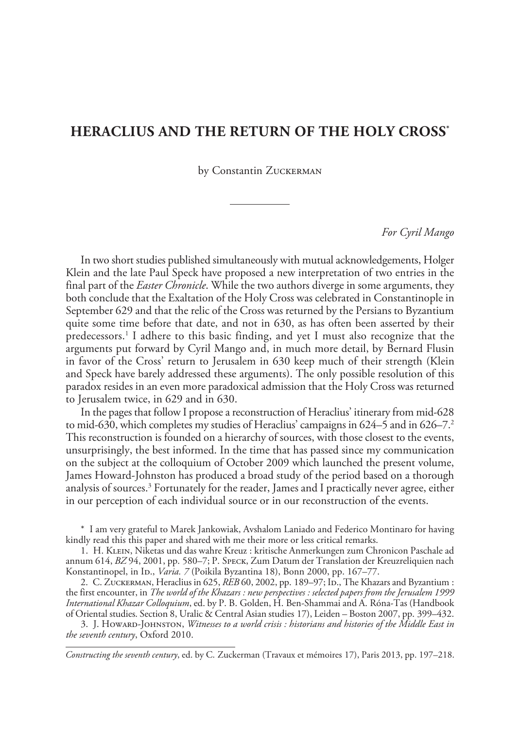#### **Heraclius and the return of the Holy Cross\***

by Constantin ZUCKERMAN

#### *For Cyril Mango*

In two short studies published simultaneously with mutual acknowledgements, Holger Klein and the late Paul Speck have proposed a new interpretation of two entries in the final part of the *Easter Chronicle*. While the two authors diverge in some arguments, they both conclude that the Exaltation of the Holy Cross was celebrated in Constantinople in September 629 and that the relic of the Cross was returned by the Persians to Byzantium quite some time before that date, and not in 630, as has often been asserted by their predecessors.1 I adhere to this basic finding, and yet I must also recognize that the arguments put forward by Cyril Mango and, in much more detail, by Bernard Flusin in favor of the Cross' return to Jerusalem in 630 keep much of their strength (Klein and Speck have barely addressed these arguments). The only possible resolution of this paradox resides in an even more paradoxical admission that the Holy Cross was returned to Jerusalem twice, in 629 and in 630.

In the pages that follow I propose a reconstruction of Heraclius' itinerary from mid-628 to mid-630, which completes my studies of Heraclius' campaigns in  $624-5$  and in  $626-7<sup>2</sup>$ This reconstruction is founded on a hierarchy of sources, with those closest to the events, unsurprisingly, the best informed. In the time that has passed since my communication on the subject at the colloquium of October 2009 which launched the present volume, James Howard-Johnston has produced a broad study of the period based on a thorough analysis of sources.<sup>3</sup> Fortunately for the reader, James and I practically never agree, either in our perception of each individual source or in our reconstruction of the events.

\* I am very grateful to Marek Jankowiak, Avshalom Laniado and Federico Montinaro for having kindly read this this paper and shared with me their more or less critical remarks.

1. H. Klein, Niketas und das wahre Kreuz : kritische Anmerkungen zum Chronicon Paschale ad annum 614, *BZ* 94, 2001, pp. 580–7; P. Speck, Zum Datum der Translation der Kreuzreliquien nach Konstantinopel, in Ip., *Varia. 7* (Poikila Byzantina 18), Bonn 2000, pp. 167–77.

2. C. ZUCKERMAN, Heraclius in 625, *REB* 60, 2002, pp. 189-97; ID., The Khazars and Byzantium : the first encounter, in *The world of the Khazars : new perspectives : selected papers from the Jerusalem 1999 International Khazar Colloquium*, ed. by P. B. Golden, H. Ben-Shammai and A. Róna-Tas (Handbook of Oriental studies. Section 8, Uralic & Central Asian studies 17), Leiden – Boston 2007, pp. 399–432.

3. J. Howard-Johnston, *Witnesses to a world crisis : historians and histories of the Middle East in the seventh century*, Oxford 2010.

*Constructing the seventh century*, ed. by C. Zuckerman (Travaux et mémoires 17), Paris 2013, pp. 197–218.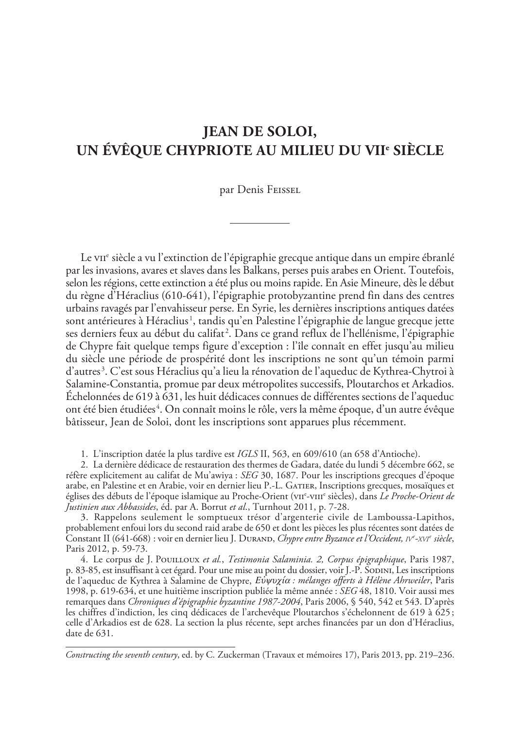### **Jean de Soloi, un évêque chypriote au milieu du VII<sup>e</sup>  siècle**

par Denis Feissel

Le vii<sup>e</sup> siècle a vu l'extinction de l'épigraphie grecque antique dans un empire ébranlé par les invasions, avares et slaves dans les Balkans, perses puis arabes en Orient. Toutefois, selon les régions, cette extinction a été plus ou moins rapide. En Asie Mineure, dès le début du règne d'Héraclius (610-641), l'épigraphie protobyzantine prend fin dans des centres urbains ravagés par l'envahisseur perse. En Syrie, les dernières inscriptions antiques datées sont antérieures à Héraclius<sup>1</sup>, tandis qu'en Palestine l'épigraphie de langue grecque jette ses derniers feux au début du califat<sup>2</sup>. Dans ce grand reflux de l'hellénisme, l'épigraphie de Chypre fait quelque temps figure d'exception : l'île connaît en effet jusqu'au milieu du siècle une période de prospérité dont les inscriptions ne sont qu'un témoin parmi d'autres<sup>3</sup>. C'est sous Héraclius qu'a lieu la rénovation de l'aqueduc de Kythrea-Chytroi à Salamine-Constantia, promue par deux métropolites successifs, Ploutarchos et Arkadios. Échelonnées de 619 à 631, les huit dédicaces connues de différentes sections de l'aqueduc ont été bien étudiées $^4$ . On connaît moins le rôle, vers la même époque, d'un autre évêque bâtisseur, Jean de Soloi, dont les inscriptions sont apparues plus récemment.

1. L'inscription datée la plus tardive est *IGLS* II, 563, en 609/610 (an 658 d'Antioche).

2. La dernière dédicace de restauration des thermes de Gadara, datée du lundi 5 décembre 662, se réfère explicitement au califat de Mu'awiya : *SEG* 30, 1687. Pour les inscriptions grecques d'époque arabe, en Palestine et en Arabie, voir en dernier lieu P.-L. GATIER, Inscriptions grecques, mosaïques et églises des débuts de l'époque islamique au Proche-Orient (v11<sup>e</sup>-v111<sup>e</sup> siècles), dans *Le Proche-Orient de Justinien aux Abbassides*, éd. par A. Borrut *et al*., Turnhout 2011, p. 7-28.

3. Rappelons seulement le somptueux trésor d'argenterie civile de Lamboussa-Lapithos, probablement enfoui lors du second raid arabe de 650 et dont les pièces les plus récentes sont datées de Constant II (641-668) : voir en dernier lieu J. Durand, *Chypre entre Byzance et l'Occident, iv<sup>e</sup> -xvi<sup>e</sup> siècle*, Paris 2012, p. 59-73.

4. Le corpus de J. Pouilloux *et al.*, *Testimonia Salaminia. 2, Corpus épigraphique*, Paris 1987, p. 83-85, est insuffisant à cet égard. Pour une mise au point du dossier, voir J.-P. SODINI, Les inscriptions de l'aqueduc de Kythrea à Salamine de Chypre, Εὐψυχία *: mélanges offerts à Hélène Ahrweiler*, Paris 1998, p. 619-634, et une huitième inscription publiée la même année : *SEG* 48, 1810. Voir aussi mes remarques dans *Chroniques d'épigraphie byzantine 1987-2004*, Paris 2006, § 540, 542 et 543. D'après les chiffres d'indiction, les cinq dédicaces de l'archevêque Ploutarchos s'échelonnent de 619 à 625; celle d'Arkadios est de 628. La section la plus récente, sept arches financées par un don d'Héraclius, date de 631.

*Constructing the seventh century*, ed. by C. Zuckerman (Travaux et mémoires 17), Paris 2013, pp. 219–236.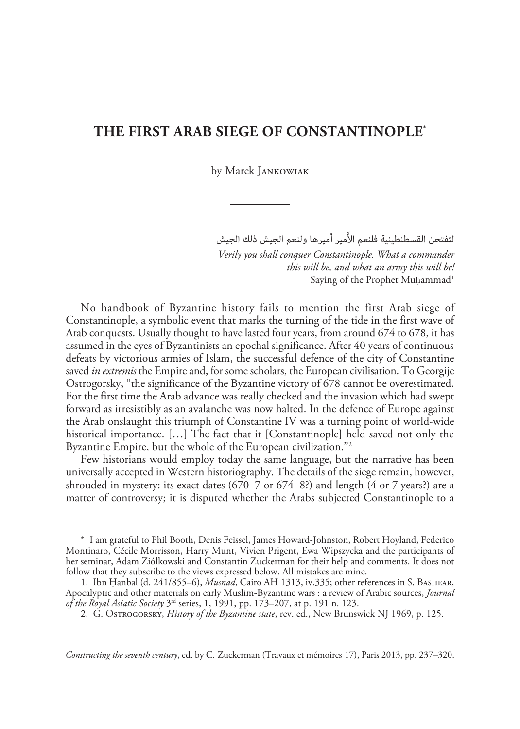#### **The First Arab Siege of Constantinople**\*

by Marek Jankowiak

لتفتحن القسطنطينية فلنعم الأَمير أميرها ولنعم الجيش ذلك الجيش

*Verily you shall conquer Constantinople. What a commander this will be, and what an army this will be!* Saying of the Prophet Muhammad<sup>1</sup>

No handbook of Byzantine history fails to mention the first Arab siege of Constantinople, a symbolic event that marks the turning of the tide in the first wave of Arab conquests. Usually thought to have lasted four years, from around 674 to 678, it has assumed in the eyes of Byzantinists an epochal significance. After 40 years of continuous defeats by victorious armies of Islam, the successful defence of the city of Constantine saved *in extremis* the Empire and, for some scholars, the European civilisation. To Georgije Ostrogorsky, "the significance of the Byzantine victory of 678 cannot be overestimated. For the first time the Arab advance was really checked and the invasion which had swept forward as irresistibly as an avalanche was now halted. In the defence of Europe against the Arab onslaught this triumph of Constantine IV was a turning point of world-wide historical importance. […] The fact that it [Constantinople] held saved not only the Byzantine Empire, but the whole of the European civilization."<sup>2</sup>

Few historians would employ today the same language, but the narrative has been universally accepted in Western historiography. The details of the siege remain, however, shrouded in mystery: its exact dates  $(670–7 \text{ or } 674–8?)$  and length  $(4 \text{ or } 7 \text{ years})$  are a matter of controversy; it is disputed whether the Arabs subjected Constantinople to a

\* I am grateful to Phil Booth, Denis Feissel, James Howard-Johnston, Robert Hoyland, Federico Montinaro, Cécile Morrisson, Harry Munt, Vivien Prigent, Ewa Wipszycka and the participants of her seminar, Adam Ziółkowski and Constantin Zuckerman for their help and comments. It does not follow that they subscribe to the views expressed below. All mistakes are mine.

1. Ibn Ḥanbal (d. 241/855–6), *Musnad*, Cairo AH 1313, iv.335; other references in S. Bashear, Apocalyptic and other materials on early Muslim-Byzantine wars : a review of Arabic sources, *Journal of the Royal Asiatic Society* 3rd series, 1, 1991, pp. 173–207, at p. 191 n. 123.

2. G. Ostrogorsky, *History of the Byzantine state*, rev. ed., New Brunswick NJ 1969, p. 125.

*Constructing the seventh century*, ed. by C. Zuckerman (Travaux et mémoires 17), Paris 2013, pp. 237–320.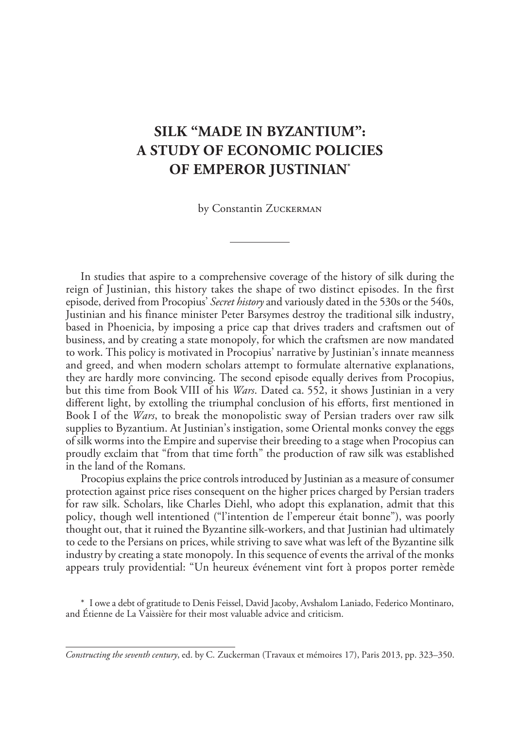### **Silk "made in Byzantium": a study of economic policies of emperor Justinian\***

by Constantin ZUCKERMAN

In studies that aspire to a comprehensive coverage of the history of silk during the reign of Justinian, this history takes the shape of two distinct episodes. In the first episode, derived from Procopius' *Secret history* and variously dated in the 530s or the 540s, Justinian and his finance minister Peter Barsymes destroy the traditional silk industry, based in Phoenicia, by imposing a price cap that drives traders and craftsmen out of business, and by creating a state monopoly, for which the craftsmen are now mandated to work. This policy is motivated in Procopius' narrative by Justinian's innate meanness and greed, and when modern scholars attempt to formulate alternative explanations, they are hardly more convincing. The second episode equally derives from Procopius, but this time from Book VIII of his *Wars*. Dated ca. 552, it shows Justinian in a very different light, by extolling the triumphal conclusion of his efforts, first mentioned in Book I of the *Wars*, to break the monopolistic sway of Persian traders over raw silk supplies to Byzantium. At Justinian's instigation, some Oriental monks convey the eggs of silk worms into the Empire and supervise their breeding to a stage when Procopius can proudly exclaim that "from that time forth" the production of raw silk was established in the land of the Romans.

Procopius explains the price controls introduced by Justinian as a measure of consumer protection against price rises consequent on the higher prices charged by Persian traders for raw silk. Scholars, like Charles Diehl, who adopt this explanation, admit that this policy, though well intentioned ("l'intention de l'empereur était bonne"), was poorly thought out, that it ruined the Byzantine silk-workers, and that Justinian had ultimately to cede to the Persians on prices, while striving to save what was left of the Byzantine silk industry by creating a state monopoly. In this sequence of events the arrival of the monks appears truly providential: "Un heureux événement vint fort à propos porter remède

\* I owe a debt of gratitude to Denis Feissel, David Jacoby, Avshalom Laniado, Federico Montinaro, and Étienne de La Vaissière for their most valuable advice and criticism.

*Constructing the seventh century*, ed. by C. Zuckerman (Travaux et mémoires 17), Paris 2013, pp. 323–350.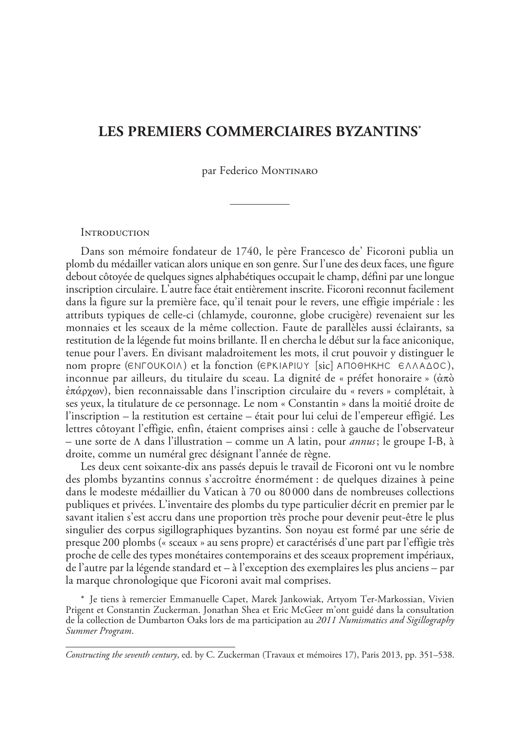### **Les premiers commerciaires byzantins\***

par Federico MONTINARO

#### **INTRODUCTION**

Dans son mémoire fondateur de 1740, le père Francesco de' Ficoroni publia un plomb du médailler vatican alors unique en son genre. Sur l'une des deux faces, une figure debout côtoyée de quelques signes alphabétiques occupait le champ, défini par une longue inscription circulaire. L'autre face était entièrement inscrite. Ficoroni reconnut facilement dans la figure sur la première face, qu'il tenait pour le revers, une effigie impériale : les attributs typiques de celle-ci (chlamyde, couronne, globe crucigère) revenaient sur les monnaies et les sceaux de la même collection. Faute de parallèles aussi éclairants, sa restitution de la légende fut moins brillante. Il en chercha le début sur la face aniconique, tenue pour l'avers. En divisant maladroitement les mots, il crut pouvoir y distinguer le nom propre (ENFOUKOIA) et la fonction (EPKIAPIUY [sic] ANOOHKHC EAAAAOC), inconnue par ailleurs, du titulaire du sceau. La dignité de « préfet honoraire » (ἀπὸ ἐπάρχων), bien reconnaissable dans l'inscription circulaire du « revers » complétait, à ses yeux, la titulature de ce personnage. Le nom « Constantin » dans la moitié droite de l'inscription – la restitution est certaine – était pour lui celui de l'empereur effigié. Les lettres côtoyant l'effigie, enfin, étaient comprises ainsi : celle à gauche de l'observateur – une sorte de Λ dans l'illustration – comme un A latin, pour *annus*; le groupe I-B, à droite, comme un numéral grec désignant l'année de règne.

Les deux cent soixante-dix ans passés depuis le travail de Ficoroni ont vu le nombre des plombs byzantins connus s'accroître énormément : de quelques dizaines à peine dans le modeste médaillier du Vatican à 70 ou 80 000 dans de nombreuses collections publiques et privées. L'inventaire des plombs du type particulier décrit en premier par le savant italien s'est accru dans une proportion très proche pour devenir peut-être le plus singulier des corpus sigillographiques byzantins. Son noyau est formé par une série de presque 200 plombs (« sceaux » au sens propre) et caractérisés d'une part par l'effigie très proche de celle des types monétaires contemporains et des sceaux proprement impériaux, de l'autre par la légende standard et – à l'exception des exemplaires les plus anciens – par la marque chronologique que Ficoroni avait mal comprises.

\* Je tiens à remercier Emmanuelle Capet, Marek Jankowiak, Artyom Ter-Markossian, Vivien Prigent et Constantin Zuckerman. Jonathan Shea et Eric McGeer m'ont guidé dans la consultation de la collection de Dumbarton Oaks lors de ma participation au *2011 Numismatics and Sigillography Summer Program*.

*Constructing the seventh century*, ed. by C. Zuckerman (Travaux et mémoires 17), Paris 2013, pp. 351–538.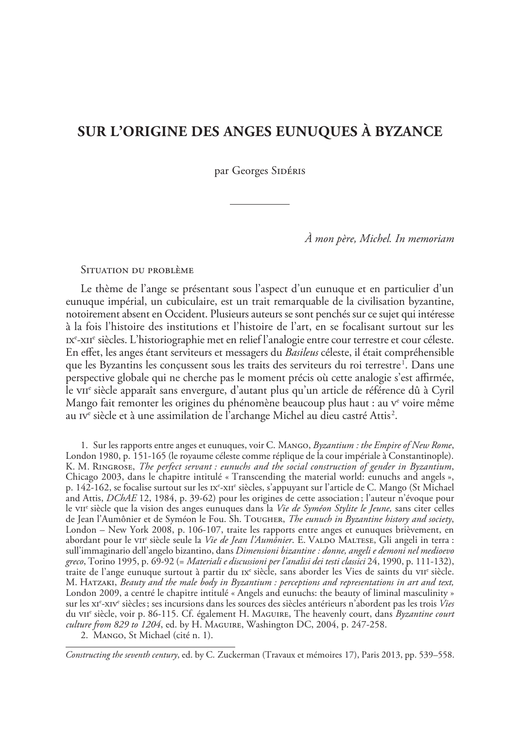### **Sur l'origine des anges eunuques à Byzance**

par Georges SIDÉRIS

*À mon père, Michel. In memoriam*

Situation du problème

Le thème de l'ange se présentant sous l'aspect d'un eunuque et en particulier d'un eunuque impérial, un cubiculaire, est un trait remarquable de la civilisation byzantine, notoirement absent en Occident. Plusieurs auteurs se sont penchés sur ce sujet qui intéresse à la fois l'histoire des institutions et l'histoire de l'art, en se focalisant surtout sur les Ixe-xiie siècles. L'historiographie met en relief l'analogie entre cour terrestre et cour céleste. En effet, les anges étant serviteurs et messagers du *Basileus* céleste, il était compréhensible que les Byzantins les conçussent sous les traits des serviteurs du roi terrestre<sup>1</sup>. Dans une perspective globale qui ne cherche pas le moment précis où cette analogie s'est affirmée, le viie siècle apparaît sans envergure, d'autant plus qu'un article de référence dû à Cyril Mango fait remonter les origines du phénomène beaucoup plus haut : au v<sup>e</sup> voire même au 1v $^{\rm e}$  siècle et à une assimilation de l'archange Michel au dieu castré Attis $^{\rm 2}$ .

1. Sur les rapports entre anges et eunuques, voir C. Mango, *Byzantium : the Empire of New Rome*, London 1980, p. 151-165 (le royaume céleste comme réplique de la cour impériale à Constantinople). K. M. Ringrose, *The perfect servant : eunuchs and the social construction of gender in Byzantium*, Chicago 2003, dans le chapitre intitulé « Transcending the material world: eunuchs and angels », p. 142-162, se focalise surtout sur les 1x°-x11° siècles, s'appuyant sur l'article de C. Mango (St Michael and Attis, *DChAE* 12, 1984, p. 39-62) pour les origines de cette association; l'auteur n'évoque pour le viie siècle que la vision des anges eunuques dans la Vie de Syméon Stylite le Jeune, sans citer celles de Jean l'Aumônier et de Syméon le Fou. Sh. Tougher, *The eunuch in Byzantine history and society*, London – New York 2008, p. 106-107, traite les rapports entre anges et eunuques brièvement, en abordant pour le vii<sup>e</sup> siècle seule la *Vie de Jean l'Aumônier*. E. VALDO MALTESE, Gli angeli in terra : sull'immaginario dell'angelo bizantino, dans *Dimensioni bizantine : donne, angeli e demoni nel medioevo greco*, Torino 1995, p. 69-92 (= *Materiali e discussioni per l'analisi dei testi classici* 24, 1990, p. 111-132), traite de l'ange eunuque surtout à partir du  $rx^{\circ}$  siècle, sans aborder les Vies de saints du vir<sup>e</sup> siècle. M. Hatzaki, *Beauty and the male body in Byzantium : perceptions and representations in art and text,*  London 2009, a centré le chapitre intitulé « Angels and eunuchs: the beauty of liminal masculinity » sur les x1<sup>e</sup>-xiv<sup>e</sup> siècles; ses incursions dans les sources des siècles antérieurs n'abordent pas les trois *Vies* du viie siècle, voir p. 86-115. Cf. également H. Maguire, The heavenly court, dans *Byzantine court culture from 829 to 1204*, ed. by H. Maguire, Washington DC, 2004, p. 247-258.

2. Mango, St Michael (cité n. 1).

*Constructing the seventh century*, ed. by C. Zuckerman (Travaux et mémoires 17), Paris 2013, pp. 539–558.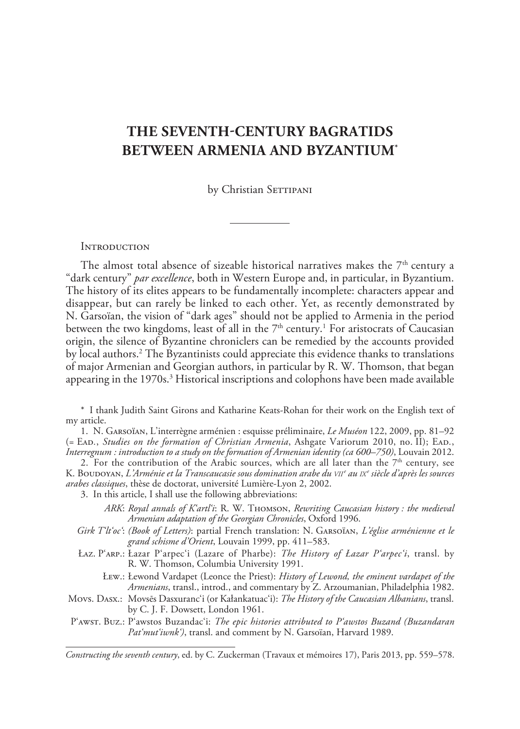### **The seventh-century Bagratids between Armenia and Byzantium\***

by Christian SETTIPANI

#### **INTRODUCTION**

The almost total absence of sizeable historical narratives makes the  $7<sup>th</sup>$  century a "dark century" *par excellence*, both in Western Europe and, in particular, in Byzantium. The history of its elites appears to be fundamentally incomplete: characters appear and disappear, but can rarely be linked to each other. Yet, as recently demonstrated by N. Garsoïan, the vision of "dark ages" should not be applied to Armenia in the period between the two kingdoms, least of all in the  $7^{\rm th}$  century.<sup>1</sup> For aristocrats of Caucasian origin, the silence of Byzantine chroniclers can be remedied by the accounts provided by local authors.2 The Byzantinists could appreciate this evidence thanks to translations of major Armenian and Georgian authors, in particular by R. W. Thomson, that began appearing in the 1970s.<sup>3</sup> Historical inscriptions and colophons have been made available

\* I thank Judith Saint Girons and Katharine Keats-Rohan for their work on the English text of my article.

1. N. Garsoïan, L'interrègne arménien : esquisse préliminaire, *Le Muséon* 122, 2009, pp. 81–92 (= Ead*.*, *Studies on the formation of Christian Armenia*, Ashgate Variorum 2010, no. II); Ead*.*, *Interregnum : introduction to a study on the formation of Armenian identity (ca 600–750)*, Louvain 2012.

2. For the contribution of the Arabic sources, which are all later than the  $7<sup>th</sup>$  century, see K. Boudoyan, *L'Arménie et la Transcaucasie sous domination arabe du vii<sup>e</sup> au ix<sup>e</sup> siècle d'après les sources arabes classiques*, thèse de doctorat, université Lumière-Lyon 2, 2002.

3. In this article, I shall use the following abbreviations:

- *ARK*: *Royal annals of K'artl'i*: R. W. Thomson, *Rewriting Caucasian history : the medieval Armenian adaptation of the Georgian Chronicles*, Oxford 1996.
- *Girk T'lt'oc'*: *(Book of Letters)*: partial French translation: N. Garsoïan, *L'église arménienne et le grand schisme d'Orient*, Louvain 1999, pp. 411–583.
- Łaz. P'arp.: Łazar P'arpec'i (Lazare of Pharbe): *The History of Łazar P'arpec'i*, transl. by R. W. Thomson, Columbia University 1991.
	- Łew.: Łewond Vardapet (Leonce the Priest): *History of Lewond, the eminent vardapet of the Armenians*, transl., introd., and commentary by Z. Arzoumanian, Philadelphia 1982.
- Movs. Dasx.: Movsēs Dasxuranc'i (or Kałankatuac'i): *The History of the Caucasian Albanians*, transl. by C. J. F. Dowsett, London 1961.
- P'awst. Buz.: P'awstos Buzandac'i: *The epic histories attributed to P'awstos Buzand (Buzandaran Pat'mut'iwnk')*, transl. and comment by N. Garsoïan, Harvard 1989.

*Constructing the seventh century*, ed. by C. Zuckerman (Travaux et mémoires 17), Paris 2013, pp. 559–578.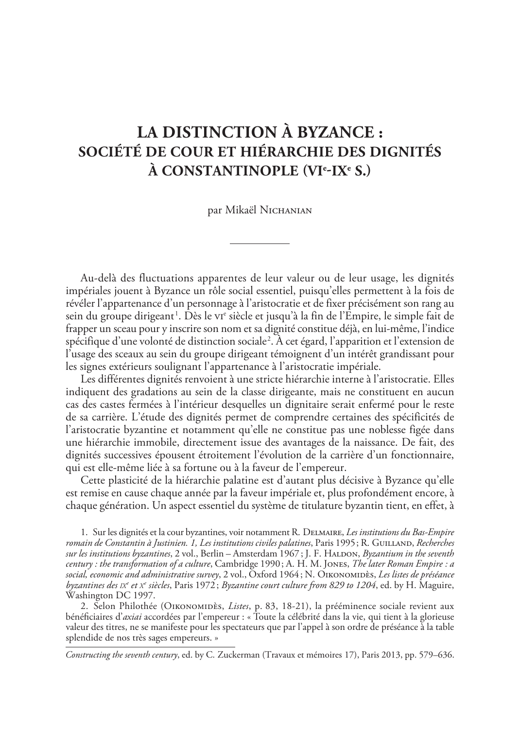### **La distinction à Byzance : société de cour et hiérarchie des dignités à Constantinople (vie -ixe  s.)**

par Mikaël Nichanian

Au-delà des fluctuations apparentes de leur valeur ou de leur usage, les dignités impériales jouent à Byzance un rôle social essentiel, puisqu'elles permettent à la fois de révéler l'appartenance d'un personnage à l'aristocratie et de fixer précisément son rang au sein du groupe dirigeant<sup>1</sup>. Dès le v1<sup>e</sup> siècle et jusqu'à la fin de l'Empire, le simple fait de frapper un sceau pour y inscrire son nom et sa dignité constitue déjà, en lui-même, l'indice spécifique d'une volonté de distinction sociale2 . À cet égard, l'apparition et l'extension de l'usage des sceaux au sein du groupe dirigeant témoignent d'un intérêt grandissant pour les signes extérieurs soulignant l'appartenance à l'aristocratie impériale.

Les différentes dignités renvoient à une stricte hiérarchie interne à l'aristocratie. Elles indiquent des gradations au sein de la classe dirigeante, mais ne constituent en aucun cas des castes fermées à l'intérieur desquelles un dignitaire serait enfermé pour le reste de sa carrière. L'étude des dignités permet de comprendre certaines des spécificités de l'aristocratie byzantine et notamment qu'elle ne constitue pas une noblesse figée dans une hiérarchie immobile, directement issue des avantages de la naissance. De fait, des dignités successives épousent étroitement l'évolution de la carrière d'un fonctionnaire, qui est elle-même liée à sa fortune ou à la faveur de l'empereur.

Cette plasticité de la hiérarchie palatine est d'autant plus décisive à Byzance qu'elle est remise en cause chaque année par la faveur impériale et, plus profondément encore, à chaque génération. Un aspect essentiel du système de titulature byzantin tient, en effet, à

1. Sur les dignités et la cour byzantines, voir notamment R. Delmaire, *Les institutions du Bas-Empire romain de Constantin à Justinien. 1, Les institutions civiles palatines*, Paris 1995; R. Guilland, *Recherches sur les institutions byzantines*, 2 vol., Berlin – Amsterdam 1967 ; J. F. Haldon, *Byzantium in the seventh century : the transformation of a culture*, Cambridge 1990; A. H. M. Jones, *The later Roman Empire : a social, economic and administrative survey*, 2 vol., Oxford 1964; N. Oikonomidès, *Les listes de préséance byzantines des ix<sup>e</sup> et x<sup>e</sup> siècles*, Paris 1972 ; *Byzantine court culture from 829 to 1204*, ed. by H. Maguire, Washington DC 1997.

2. Selon Philothée (Oikonomidès, *Listes*, p. 83, 18-21), la prééminence sociale revient aux bénéficiaires d'*axiai* accordées par l'empereur : « Toute la célébrité dans la vie, qui tient à la glorieuse valeur des titres, ne se manifeste pour les spectateurs que par l'appel à son ordre de préséance à la table splendide de nos très sages empereurs. »

*Constructing the seventh century*, ed. by C. Zuckerman (Travaux et mémoires 17), Paris 2013, pp. 579–636.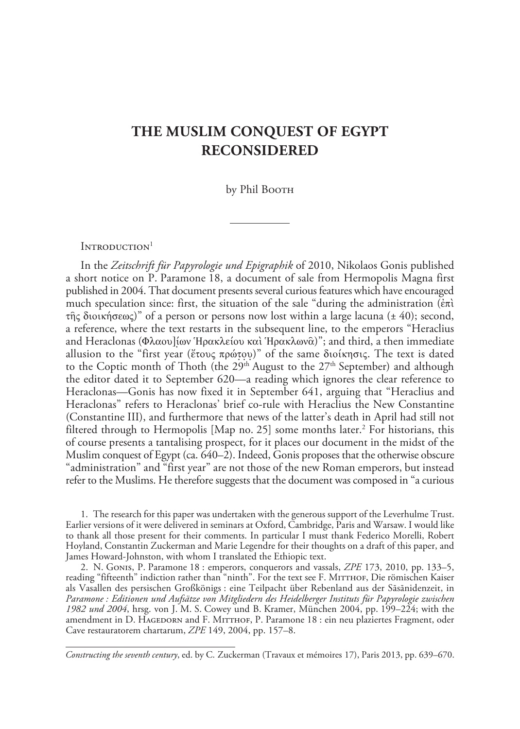### **The Muslim Conquest of Egypt Reconsidered**

by Phil Booth

INTRODUCTION<sup>1</sup>

In the *Zeitschrift für Papyrologie und Epigraphik* of 2010, Nikolaos Gonis published a short notice on P. Paramone 18, a document of sale from Hermopolis Magna first published in 2004. That document presents several curious features which have encouraged much speculation since: first, the situation of the sale "during the administration (ἐπὶ τῆς διοικήσεως)" of a person or persons now lost within a large lacuna (± 40); second, a reference, where the text restarts in the subsequent line, to the emperors "Heraclius and Heraclonas (Φλαου]ίων Ἡρακλείου καὶ Ἡρακλωνᾶ)"; and third, a then immediate allusion to the "first year (ἔτους πρώτου)" of the same διοίκησις. The text is dated to the Coptic month of Thoth (the  $29<sup>th</sup>$  August to the  $27<sup>th</sup>$  September) and although the editor dated it to September 620—a reading which ignores the clear reference to Heraclonas—Gonis has now fixed it in September 641, arguing that "Heraclius and Heraclonas" refers to Heraclonas' brief co-rule with Heraclius the New Constantine (Constantine III), and furthermore that news of the latter's death in April had still not filtered through to Hermopolis [Map no. 25] some months later.<sup>2</sup> For historians, this of course presents a tantalising prospect, for it places our document in the midst of the Muslim conquest of Egypt (ca. 640–2). Indeed, Gonis proposes that the otherwise obscure "administration" and "first year" are not those of the new Roman emperors, but instead refer to the Muslims. He therefore suggests that the document was composed in "a curious

1. The research for this paper was undertaken with the generous support of the Leverhulme Trust. Earlier versions of it were delivered in seminars at Oxford, Cambridge, Paris and Warsaw. I would like to thank all those present for their comments. In particular I must thank Federico Morelli, Robert Hoyland, Constantin Zuckerman and Marie Legendre for their thoughts on a draft of this paper, and James Howard-Johnston, with whom I translated the Ethiopic text.

2. N. Gonis, P. Paramone 18 : emperors, conquerors and vassals, *ZPE* 173, 2010, pp. 133–5, reading "fifteenth" indiction rather than "ninth". For the text see F. MITTHOF, Die römischen Kaiser als Vasallen des persischen Großkönigs : eine Teilpacht über Rebenland aus der Sāsānidenzeit, in *Paramone : Editionen und Aufsätze von Mitgliedern des Heidelberger Instituts für Papyrologie zwischen 1982 und 2004*, hrsg. von J. M. S. Cowey und B. Kramer, München 2004, pp. 199–224; with the amendment in D. HAGEDORN and F. MITTHOF, P. Paramone 18 : ein neu plaziertes Fragment, oder Cave restauratorem chartarum, *ZPE* 149, 2004, pp. 157–8.

*Constructing the seventh century*, ed. by C. Zuckerman (Travaux et mémoires 17), Paris 2013, pp. 639–670.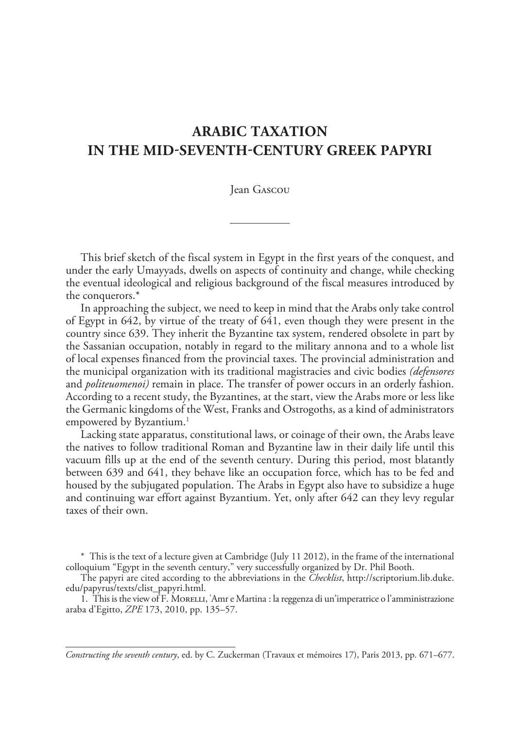### **Arabic Taxation in the mid-seventh-century Greek papyri**

Jean Gascou

This brief sketch of the fiscal system in Egypt in the first years of the conquest, and under the early Umayyads, dwells on aspects of continuity and change, while checking the eventual ideological and religious background of the fiscal measures introduced by the conquerors.\*

In approaching the subject, we need to keep in mind that the Arabs only take control of Egypt in 642, by virtue of the treaty of 641, even though they were present in the country since 639. They inherit the Byzantine tax system, rendered obsolete in part by the Sassanian occupation, notably in regard to the military annona and to a whole list of local expenses financed from the provincial taxes. The provincial administration and the municipal organization with its traditional magistracies and civic bodies *(defensores* and *politeuomenoi)* remain in place. The transfer of power occurs in an orderly fashion. According to a recent study, the Byzantines, at the start, view the Arabs more or less like the Germanic kingdoms of the West, Franks and Ostrogoths, as a kind of administrators empowered by Byzantium.<sup>1</sup>

Lacking state apparatus, constitutional laws, or coinage of their own, the Arabs leave the natives to follow traditional Roman and Byzantine law in their daily life until this vacuum fills up at the end of the seventh century. During this period, most blatantly between 639 and 641, they behave like an occupation force, which has to be fed and housed by the subjugated population. The Arabs in Egypt also have to subsidize a huge and continuing war effort against Byzantium. Yet, only after 642 can they levy regular taxes of their own.

\* This is the text of a lecture given at Cambridge (July 11 2012), in the frame of the international colloquium "Egypt in the seventh century," very successfully organized by Dr. Phil Booth.

The papyri are cited according to the abbreviations in the *Checklist*, http://scriptorium.lib.duke. edu/papyrus/texts/clist\_papyri.html.

1. This is the view of F. Morelli, ʿAmr e Martina : la reggenza di un'imperatrice o l'amministrazione araba d'Egitto, *ZPE* 173, 2010, pp. 135–57.

*Constructing the seventh century*, ed. by C. Zuckerman (Travaux et mémoires 17), Paris 2013, pp. 671–677.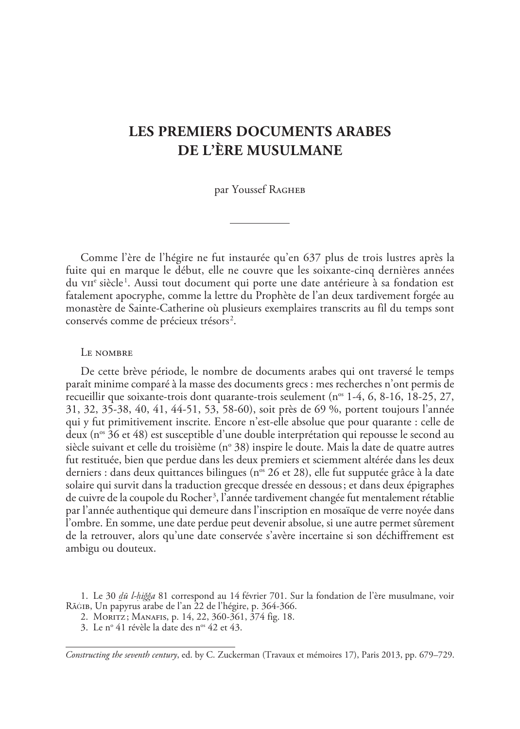### **Les premiers documents arabes de l'ère musulmane**

par Youssef RAGHEB

Comme l'ère de l'hégire ne fut instaurée qu'en 637 plus de trois lustres après la fuite qui en marque le début, elle ne couvre que les soixante-cinq dernières années du v $\mathrm{ur}^\mathrm{e}$  siècle<sup>1</sup>. Aussi tout document qui porte une date antérieure à sa fondation est fatalement apocryphe, comme la lettre du Prophète de l'an deux tardivement forgée au monastère de Sainte-Catherine où plusieurs exemplaires transcrits au fil du temps sont conservés comme de précieux trésors <sup>2</sup> .

#### LE NOMBRE

De cette brève période, le nombre de documents arabes qui ont traversé le temps paraît minime comparé à la masse des documents grecs : mes recherches n'ont permis de recueillir que soixante-trois dont quarante-trois seulement ( $n^{\circ}$  1-4, 6, 8-16, 18-25, 27, 31, 32, 35-38, 40, 41, 44-51, 53, 58-60), soit près de 69 %, portent toujours l'année qui y fut primitivement inscrite. Encore n'est-elle absolue que pour quarante : celle de deux (n<sup>os</sup> 36 et 48) est susceptible d'une double interprétation qui repousse le second au siècle suivant et celle du troisième (nº 38) inspire le doute. Mais la date de quatre autres fut restituée, bien que perdue dans les deux premiers et sciemment altérée dans les deux derniers : dans deux quittances bilingues (n<sup>os</sup> 26 et 28), elle fut supputée grâce à la date solaire qui survit dans la traduction grecque dressée en dessous; et dans deux épigraphes de cuivre de la coupole du Rocher<sup>3</sup>, l'année tardivement changée fut mentalement rétablie par l'année authentique qui demeure dans l'inscription en mosaïque de verre noyée dans l'ombre. En somme, une date perdue peut devenir absolue, si une autre permet sûrement de la retrouver, alors qu'une date conservée s'avère incertaine si son déchiffrement est ambigu ou douteux.

1. Le 30 *ḏū l-ḥiǧǧa* 81 correspond au 14 février 701. Sur la fondation de l'ère musulmane, voir Rāģīb, Un papyrus arabe de l'an 22 de l'hégire, p. 364-366.

2. MORITZ; MANAFIS, p. 14, 22, 360-361, 374 fig. 18.

3. Le no 41 révèle la date des nos 42 et 43.

*Constructing the seventh century*, ed. by C. Zuckerman (Travaux et mémoires 17), Paris 2013, pp. 679–729.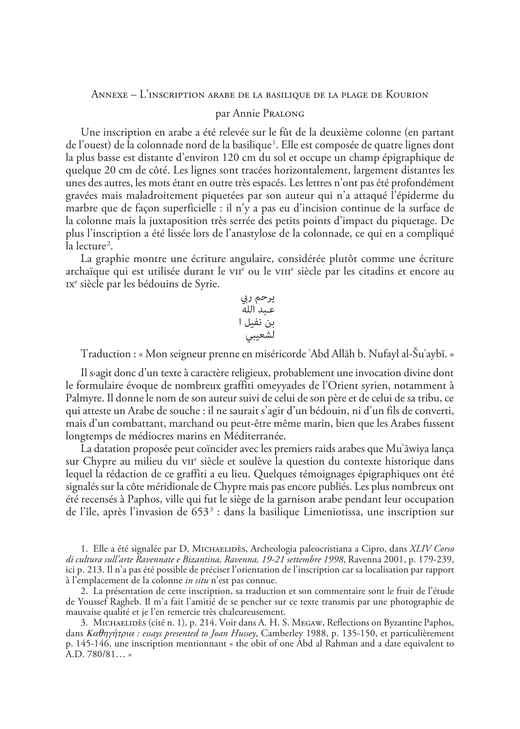#### Annexe – L'inscription arabe de la basilique de la plage de Kourion

#### par Annie Pralong

Une inscription en arabe a été relevée sur le fût de la deuxième colonne (en partant de l'ouest) de la colonnade nord de la basilique<sup>1</sup>. Elle est composée de quatre lignes dont la plus basse est distante d'environ 120 cm du sol et occupe un champ épigraphique de quelque 20 cm de côté. Les lignes sont tracées horizontalement, largement distantes les unes des autres, les mots étant en outre très espacés. Les lettres n'ont pas été profondément gravées mais maladroitement piquetées par son auteur qui n'a attaqué l'épiderme du marbre que de façon superficielle : il n'y a pas eu d'incision continue de la surface de la colonne mais la juxtaposition très serrée des petits points d'impact du piquetage. De plus l'inscription a été lissée lors de l'anastylose de la colonnade, ce qui en a compliqué la lecture<sup>2</sup>.

La graphie montre une écriture angulaire, considérée plutôt comme une écriture archaïque qui est utilisée durant le v11<sup>e</sup> ou le v111<sup>e</sup> siècle par les citadins et encore au ixe siècle par les bédouins de Syrie.

يرحم ريب عـبد الله بن نفيل ا لشعيبي

Traduction : « Mon seigneur prenne en miséricorde ʿAbd Allāh b. Nufayl al-Šuʿaybī. »

Il sagit donc d'un texte à caractère religieux, probablement une invocation divine dont le formulaire évoque de nombreux graffiti omeyyades de l'Orient syrien, notamment à Palmyre. Il donne le nom de son auteur suivi de celui de son père et de celui de sa tribu, ce qui atteste un Arabe de souche : il ne saurait s'agir d'un bédouin, ni d'un fils de converti, mais d'un combattant, marchand ou peut-être même marin, bien que les Arabes fussent longtemps de médiocres marins en Méditerranée.

La datation proposée peut coïncider avec les premiers raids arabes que Muʿāwiya lança sur Chypre au milieu du v $\pi$ <sup>e</sup> siècle et soulève la question du contexte historique dans lequel la rédaction de ce graffiti a eu lieu. Quelques témoignages épigraphiques ont été signalés sur la côte méridionale de Chypre mais pas encore publiés. Les plus nombreux ont été recensés à Paphos, ville qui fut le siège de la garnison arabe pendant leur occupation de l'île, après l'invasion de 653<sup>3</sup> : dans la basilique Limeniotissa, une inscription sur

1. Elle a été signalée par D. Michaelidès, Archeologia paleocristiana a Cipro, dans *XLIV Corso di cultura sull'arte Ravennate e Bizantina, Ravenna, 19-21 settembre 1998*, Ravenna 2001, p. 179-239, ici p. 213. Il n'a pas été possible de préciser l'orientation de l'inscription car sa localisation par rapport à l'emplacement de la colonne *in situ* n'est pas connue.

2. La présentation de cette inscription, sa traduction et son commentaire sont le fruit de l'étude de Youssef Ragheb. Il m'a fait l'amitié de se pencher sur ce texte transmis par une photographie de mauvaise qualité et je l'en remercie très chaleureusement.

3. Michaelidès (cité n. 1)*,* p. 214. Voir dans A. H. S. Megaw, Reflections on Byzantine Paphos, dans Καθηγήτρια *: essays presented to Joan Hussey*, Camberley 1988, p. 135-150, et particulièrement p. 145-146, une inscription mentionnant « the obit of one Abd al Rahman and a date equivalent to  $A.D. 780/81...$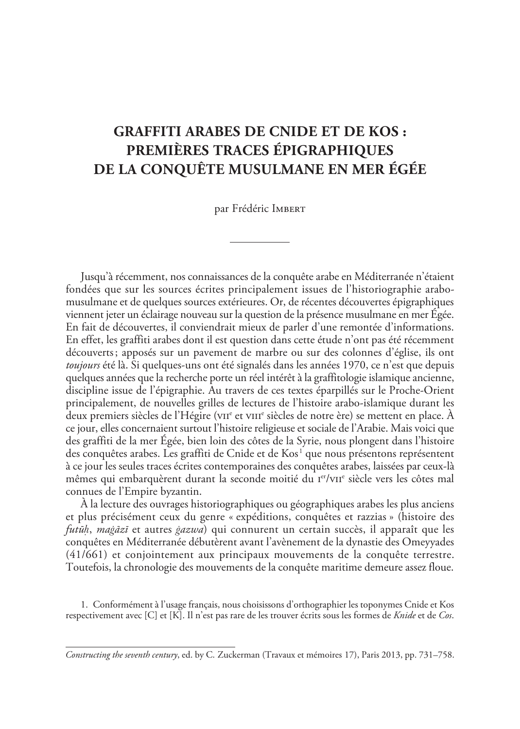### **Graffiti arabes de Cnide et de Kos : premières traces épigraphiques de la conquête musulmane en mer Égée**

par Frédéric IMBERT

Jusqu'à récemment, nos connaissances de la conquête arabe en Méditerranée n'étaient fondées que sur les sources écrites principalement issues de l'historiographie arabomusulmane et de quelques sources extérieures. Or, de récentes découvertes épigraphiques viennent jeter un éclairage nouveau sur la question de la présence musulmane en mer Égée. En fait de découvertes, il conviendrait mieux de parler d'une remontée d'informations. En effet, les graffiti arabes dont il est question dans cette étude n'ont pas été récemment découverts; apposés sur un pavement de marbre ou sur des colonnes d'église, ils ont *toujours* été là. Si quelques-uns ont été signalés dans les années 1970, ce n'est que depuis quelques années que la recherche porte un réel intérêt à la graffitologie islamique ancienne, discipline issue de l'épigraphie. Au travers de ces textes éparpillés sur le Proche-Orient principalement, de nouvelles grilles de lectures de l'histoire arabo-islamique durant les deux premiers siècles de l'Hégire (v $\scriptstyle\rm III^e$  et v $\scriptstyle\rm III^e$  siècles de notre ère) se mettent en place. À ce jour, elles concernaient surtout l'histoire religieuse et sociale de l'Arabie. Mais voici que des graffiti de la mer Égée, bien loin des côtes de la Syrie, nous plongent dans l'histoire des conquêtes arabes. Les graffiti de Cnide et de Kos<sup>1</sup> que nous présentons représentent à ce jour les seules traces écrites contemporaines des conquêtes arabes, laissées par ceux-là mêmes qui embarquèrent durant la seconde moitié du I<sup>er</sup>/vII<sup>e</sup> siècle vers les côtes mal connues de l'Empire byzantin.

À la lecture des ouvrages historiographiques ou géographiques arabes les plus anciens et plus précisément ceux du genre « expéditions, conquêtes et razzias » (histoire des *futūḥ*, *maġāzī* et autres *ġazwa*) qui connurent un certain succès, il apparaît que les conquêtes en Méditerranée débutèrent avant l'avènement de la dynastie des Omeyyades (41/661) et conjointement aux principaux mouvements de la conquête terrestre. Toutefois, la chronologie des mouvements de la conquête maritime demeure assez floue.

1. Conformément à l'usage français, nous choisissons d'orthographier les toponymes Cnide et Kos respectivement avec [C] et [K]. Il n'est pas rare de les trouver écrits sous les formes de *Knide* et de *Cos*.

*Constructing the seventh century*, ed. by C. Zuckerman (Travaux et mémoires 17), Paris 2013, pp. 731–758.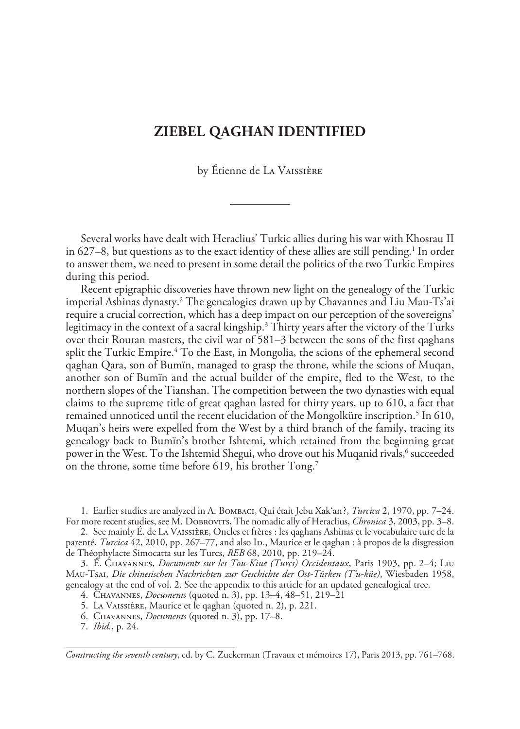#### **Ziebel Qaghan identified**

by Étienne de La Vaissière

Several works have dealt with Heraclius' Turkic allies during his war with Khosrau II in 627–8, but questions as to the exact identity of these allies are still pending.<sup>1</sup> In order to answer them, we need to present in some detail the politics of the two Turkic Empires during this period.

Recent epigraphic discoveries have thrown new light on the genealogy of the Turkic imperial Ashinas dynasty.2 The genealogies drawn up by Chavannes and Liu Mau-Ts'ai require a crucial correction, which has a deep impact on our perception of the sovereigns' legitimacy in the context of a sacral kingship.3 Thirty years after the victory of the Turks over their Rouran masters, the civil war of 581–3 between the sons of the first qaghans split the Turkic Empire.4 To the East, in Mongolia, the scions of the ephemeral second qaghan Qara, son of Bumïn, managed to grasp the throne, while the scions of Muqan, another son of Bumïn and the actual builder of the empire, fled to the West, to the northern slopes of the Tianshan. The competition between the two dynasties with equal claims to the supreme title of great qaghan lasted for thirty years, up to 610, a fact that remained unnoticed until the recent elucidation of the Mongolküre inscription.<sup>5</sup> In 610, Muqan's heirs were expelled from the West by a third branch of the family, tracing its genealogy back to Bumïn's brother Ishtemi, which retained from the beginning great power in the West. To the Ishtemid Shegui, who drove out his Muqanid rivals,<sup>6</sup> succeeded on the throne, some time before 619, his brother Tong.<sup>7</sup>

1. Earlier studies are analyzed in A. Bombaci, Qui était Jebu Xak'an?, *Turcica* 2, 1970, pp. 7–24. For more recent studies, see M. Dobrovits, The nomadic ally of Heraclius, *Chronica* 3, 2003, pp. 3–8.

2. See mainly É. de La Vaissière, Oncles et frères : les qaghans Ashinas et le vocabulaire turc de la parenté, *Turcica* 42, 2010, pp. 267–77, and also ID., Maurice et le qaghan : à propos de la disgression de Théophylacte Simocatta sur les Turcs, *REB* 68, 2010, pp. 219–24.

3. É. Chavannes, *Documents sur les Tou-Kiue (Turcs) Occidentaux*, Paris 1903, pp. 2–4; Liu Mau-Tsai, *Die chinesischen Nachrichten zur Geschichte der Ost-Türken (T'u-küe)*, Wiesbaden 1958, genealogy at the end of vol. 2. See the appendix to this article for an updated genealogical tree.

4. Chavannes, *Documents* (quoted n. 3), pp. 13–4, 48–51, 219–21

5. La Vaissière, Maurice et le qaghan (quoted n. 2), p. 221.

6. Chavannes, *Documents* (quoted n. 3), pp. 17–8.

7. *Ibid.*, p. 24.

*Constructing the seventh century*, ed. by C. Zuckerman (Travaux et mémoires 17), Paris 2013, pp. 761–768.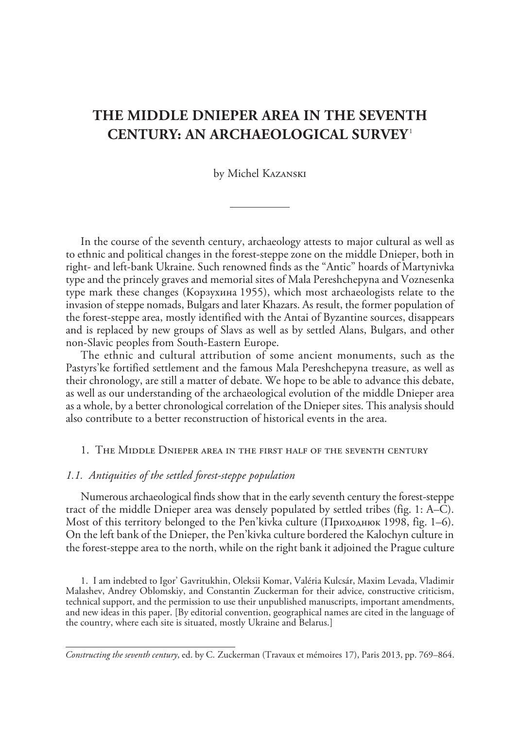### **The Middle Dnieper Area in the Seventh Century: An Archaeological Survey**  1

#### by Michel Kazanski

In the course of the seventh century, archaeology attests to major cultural as well as to ethnic and political changes in the forest-steppe zone on the middle Dnieper, both in right- and left-bank Ukraine. Such renowned finds as the "Antic" hoards of Martynivka type and the princely graves and memorial sites of Mala Pereshchepyna and Voznesenka type mark these changes (Корзухина 1955), which most archaeologists relate to the invasion of steppe nomads, Bulgars and later Khazars. As result, the former population of the forest-steppe area, mostly identified with the Antai of Byzantine sources, disappears and is replaced by new groups of Slavs as well as by settled Alans, Bulgars, and other non-Slavic peoples from South-Eastern Europe.

The ethnic and cultural attribution of some ancient monuments, such as the Pastyrs'ke fortified settlement and the famous Mala Pereshchepyna treasure, as well as their chronology, are still a matter of debate. We hope to be able to advance this debate, as well as our understanding of the archaeological evolution of the middle Dnieper area as a whole, by a better chronological correlation of the Dnieper sites. This analysis should also contribute to a better reconstruction of historical events in the area.

#### 1. The Middle Dnieper area in the first half of the seventh century

#### *1.1. Antiquities of the settled forest-steppe population*

Numerous archaeological finds show that in the early seventh century the forest-steppe tract of the middle Dnieper area was densely populated by settled tribes (fig. 1: A–C). Most of this territory belonged to the Pen'kivka culture (Приходнюк 1998, fig. 1–6). On the left bank of the Dnieper, the Pen'kivka culture bordered the Kalochyn culture in the forest-steppe area to the north, while on the right bank it adjoined the Prague culture

1. I am indebted to Igor' Gavritukhin, Oleksii Komar, Valéria Kulcsár, Maxim Levada, Vladimir Malashev, Andrey Oblomskiy, and Constantin Zuckerman for their advice, constructive criticism, technical support, and the permission to use their unpublished manuscripts, important amendments, and new ideas in this paper. [By editorial convention, geographical names are cited in the language of the country, where each site is situated, mostly Ukraine and Belarus.]

*Constructing the seventh century*, ed. by C. Zuckerman (Travaux et mémoires 17), Paris 2013, pp. 769–864.